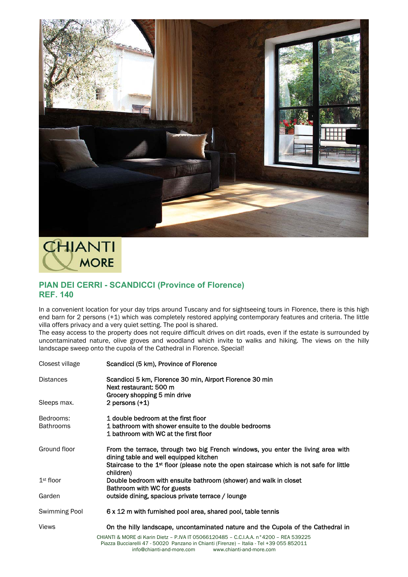



## **PIAN DEI CERRI - SCANDICCI (Province of Florence) REF. 140**

In a convenient location for your day trips around Tuscany and for sightseeing tours in Florence, there is this high end barn for 2 persons (+1) which was completely restored applying contemporary features and criteria. The little villa offers privacy and a very quiet setting. The pool is shared.

The easy access to the property does not require difficult drives on dirt roads, even if the estate is surrounded by uncontaminated nature, olive groves and woodland which invite to walks and hiking. The views on the hilly landscape sweep onto the cupola of the Cathedral in Florence. Special!

| Closest village               | Scandicci (5 km), Province of Florence                                                                                                                                                                                                         |
|-------------------------------|------------------------------------------------------------------------------------------------------------------------------------------------------------------------------------------------------------------------------------------------|
| <b>Distances</b>              | Scandicci 5 km, Florence 30 min, Airport Florence 30 min<br>Next restaurant: 500 m<br>Grocery shopping 5 min drive                                                                                                                             |
| Sleeps max.                   | 2 persons $(+1)$                                                                                                                                                                                                                               |
| Bedrooms:<br><b>Bathrooms</b> | 1 double bedroom at the first floor<br>1 bathroom with shower ensuite to the double bedrooms<br>1 bathroom with WC at the first floor                                                                                                          |
| Ground floor                  | From the terrace, through two big French windows, you enter the living area with<br>dining table and well equipped kitchen<br>Staircase to the 1 <sup>st</sup> floor (please note the open staircase which is not safe for little<br>children) |
| $1st$ floor                   | Double bedroom with ensuite bathroom (shower) and walk in closet<br>Bathroom with WC for guests                                                                                                                                                |
| Garden                        | outside dining, spacious private terrace / lounge                                                                                                                                                                                              |
| Swimming Pool                 | 6 x 12 m with furnished pool area, shared pool, table tennis                                                                                                                                                                                   |
| <b>Views</b>                  | On the hilly landscape, uncontaminated nature and the Cupola of the Cathedral in                                                                                                                                                               |
|                               | CHIANTI & MORE di Karin Dietz - P.IVA IT 05066120485 - C.C.I.A.A. n°4200 - REA 539225<br>Piazza Bucciarelli 47 - 50020 Panzano in Chianti (Firenze) - Italia - Tel +39 055 852011<br>info@chianti-and-more.com<br>www.chianti-and-more.com     |